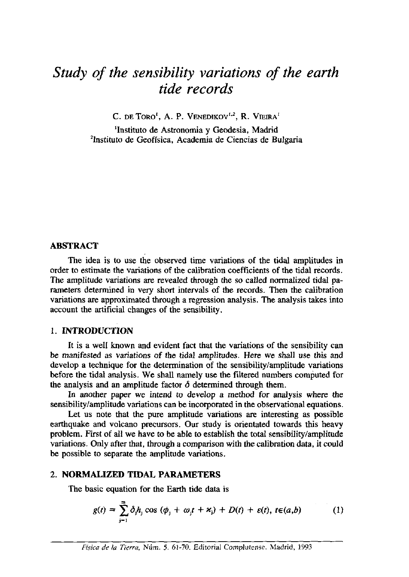# *Study of the sensibility variations of the earth tide records*

 $C$ . DE TORO<sup>1</sup>, A. P. **VENEDIKOV<sup>1,2</sup>, R. <b>VIEIRA**<sup>1</sup>

'Instituto de Astronomia y Geodesia, Madrid 'Instituto de Geofísica, Academia de Ciencias de Bulgaria

# **ABSTRACT**

The idea is to use the observed time variations of the tidal amplitudes in order to estimate the variations of the calibration coefficients of the tidal records. The amplitude variations are revealed through the so called normalized tidal parameters determined in very short intervals of the records. Then the calibration variations are approximated through a regression analysis. The analysis takes into account the artificial changes of the sensibility.

# 1. INTRODUCTION

It is a well known and evident fact that the variations of the sensibility can be manifested as variations of the tidal amplitudes. Here we shall use this and develop a technique for the determination of the sensibility/amplitude variations before the tidal analysis. We shall namely use the filtered numbers computed for the analysis and an amplitude factor  $\delta$  determined through them.

In another paper we intend to develop a method for analysis where the sensibility/amplitude variations can be incorporated in the observational equations.

Let us note that the pure amplitude variations are interesting as possible earthquake and volcano precursors. Our study is orientated towards this heavy problem. First of all we have to be able to establish the total sensibility/amplitude variations. Only after that, through a comparison with the calibration data, it could be possible to separate the amplitude variations.

# 2. NORMALIZED TIDAL PARAMETERS

The basic equation for the Earth tide data is

$$
g(t) = \sum_{j=1}^{m} \delta_j h_j \cos (\phi_j + \omega_j t + \varkappa_j) + D(t) + \varepsilon(t), t \in (a, b)
$$
 (1)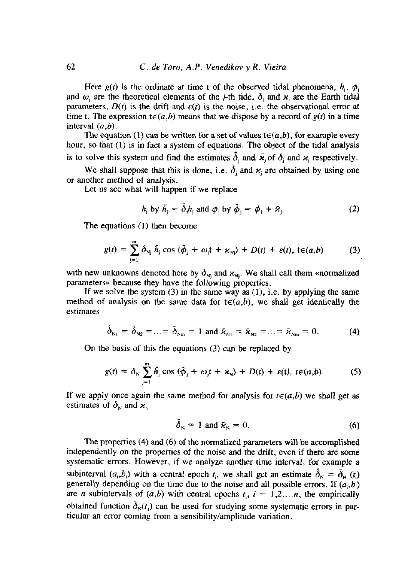Here  $g(t)$  is the ordinate at time t of the observed tidal phenomena,  $h_i$ ,  $\phi_i$ and  $\omega_i$  are the theoretical elements of the j-th tide,  $\delta_i$  and  $\varkappa_i$  are the Earth tidal parameters,  $D(t)$  is the drift and  $\varepsilon(t)$  is the noise, i.e. the observational error at time t. The expression  $t \in (a,b)$  means that we dispose by a record of  $g(t)$  in a time interval  $(a,b)$ .

The equation (1) can be written for a set of values  $t \in (a,b)$ , for example every hour, so that (1) is in fact a system of equations. The object of the tidal analysis is to solve this system and find the estimates  $\delta_j$  and  $\tilde{x}_j$  of  $\delta_j$  and  $x_j$  respectively.

We shall suppose that this is done, i.e.  $\delta_i$  and  $x_i$  are obtained by using one or another method of analysis.

Let us see what will happen if we replace

$$
h_j \text{ by } \tilde{h}_j = \tilde{\partial}_j h_j \text{ and } \phi_j \text{ by } \tilde{\phi}_j = \phi_j + \tilde{x}_j. \tag{2}
$$

The equations (1) then become

$$
g(t) = \sum_{j=1}^{m} \delta_{nj} \tilde{h}_j \cos (\tilde{\phi}_j + \omega_j t + \varkappa_{nj}) + D(t) + \varepsilon(t), t \in (a, b)
$$
 (3)

with new unknowns denoted here by  $\delta_{\rm Ni}$  and  $\varkappa_{\rm Ni}$ . We shall call them «normalized parameters» because they have the following properties.

If we solve the system  $(3)$  in the same way as  $(1)$ , i.e. by applying the same method of analysis on the same data for  $t \in (a,b)$ , we shall get identically the estimates

$$
\tilde{\delta}_{N1} = \tilde{\delta}_{N2} = ... = \tilde{\delta}_{Nm} = 1
$$
 and  $\tilde{\kappa}_{N1} = \tilde{\kappa}_{N2} = ... = \tilde{\kappa}_{Nm} = 0.$  (4)

On the basis of this the equations  $(3)$  can be replaced by

$$
g(t) = \delta_N \sum_{j=1}^m \tilde{h}_j \cos (\tilde{\phi}_j + \omega_j t + \varkappa_N) + D(t) + \varepsilon(t), t \in (a, b).
$$
 (5)

If we apply once again the same method for analysis for  $t \in (a,b)$  we shall get as estimates of  $\delta_{N}$  and  $\varkappa_{n}$ 

$$
\delta_{\rm N} = 1 \text{ and } \tilde{\kappa}_{\rm N} = 0. \tag{6}
$$

The properties (4) and (6) of the normalized parameters will be accomplished independently on the properties of the noise and the drift, even if there are some systematic errors. However, if we analyze another time interval, for example a subinterval  $(a_i, b_i)$  with a central epoch  $t_i$ , we shall get an estimate  $\delta_N = \delta_N(t_i)$ generally depending on the time due to the noise and all possible errors. If  $(a_i, b_i)$ are *n* subintervals of  $(a,b)$  with central epochs  $t_i$ ,  $i = 1,2,...n$ , the empirically obtained function  $\delta_{N}(t_1)$  can be used for studying some systematic errors in particular an error coming from a sensibility/amplitude variation.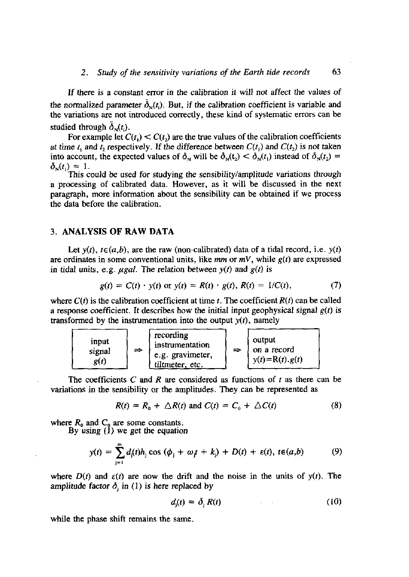## 2. *Study of the sensitivity variations of the Earth <i>tide records* 63

If there is a constant error in the calibration it will not affect the values of the normalized parameter  $\delta_{\rm v}(t_i)$ . But, if the calibration coefficient is variable and the variations are not introduced correctly, these kind of systematic errors can be studied through  $\delta_{\rm N}(t)$ .

For example let  $C(t) < C(t)$  are the true values of the calibration coefficients at time  $t_1$  and  $t_2$  respectively. If the difference between  $C(t_1)$  and  $C(t_2)$  is not taken  $\lim_{k \to \infty} a_k$  account, the expected values of **6** will be  $\delta_n(t) \leq \delta_n(t)$  instead of  $\delta_n(t) =$  $\delta_N(t_1) = 1$ .<br>This could be used for studying the sensibility/amplitude variations through

a processing of calibrated data. However, as it will be discussed in the next paragraph, more information about the sensibility can be obtained if we process the data before the calibration.

#### **3. ANALYSIS OF RAW DATA**

Let  $y(t)$ ,  $t \in (a,b)$ , are the raw (non-calibrated) data of a tidal record, i.e.  $y(t)$ are ordinates in some conventional units, like  $mm$  or  $mV$ , while  $g(t)$  are expressed in tidal units, e.g.  $\mu gal$ . The relation between  $y(t)$  and  $g(t)$  is

$$
g(t) = C(t) \cdot y(t) \text{ or } y(t) = R(t) \cdot g(t), R(t) = 1/C(t),
$$
 (7)

where  $C(t)$  is the calibration coefficient at time *t*. The coefficient  $R(t)$  can be called a response coefficient. It describes how the initial input geophysical signal  $g(t)$  is transformed by the instrumentation into the output  $y(t)$ , namely

| input<br>signal<br>g(t) | recording<br>instrumentation<br>e.g. gravimeter,<br>tiltmeter, etc. | ⇒ | output<br>on a record<br>$y(t)=R(t).g(t)$ |  |
|-------------------------|---------------------------------------------------------------------|---|-------------------------------------------|--|
|-------------------------|---------------------------------------------------------------------|---|-------------------------------------------|--|

The coefficients C and R are considered as functions of t as there can be variations in the sensibility or the amplitudes. They can be represented as

$$
R(t) = R_0 + \triangle R(t) \text{ and } C(t) = C_0 + \triangle C(t) \tag{8}
$$

where  $R_0$  and  $C_0$  are some constants.<br>By using (1) we get the equation

$$
y(t) = \sum_{j=1}^{m} d_j(t)h_j \cos (\phi_j + \omega_j t + k_j) + D(t) + \varepsilon(t), t \in (a, b)
$$
 (9)

where  $D(t)$  and  $\varepsilon(t)$  are now the drift and the noise in the units of  $y(t)$ . The amplitude factor  $\delta_i$  in (1) is here replaced by

$$
d_j(t) = \delta_j R(t) \tag{10}
$$

while the phase shift remains the same.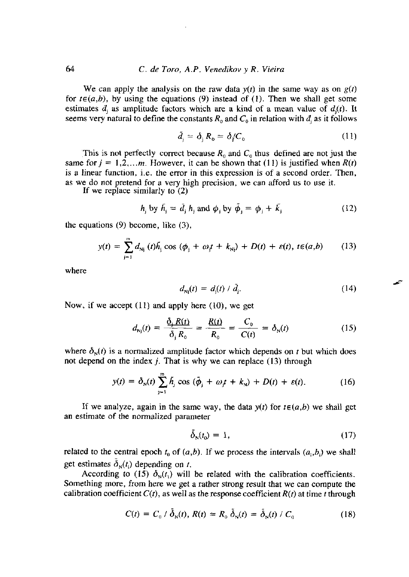## 64 *C. de Toro, AP. Venedikov y R. Vieira*

We can apply the analysis on the raw data  $y(t)$  in the same way as on  $g(t)$ for  $t \in (a,b)$ , by using the equations (9) instead of (1). Then we shall get some estimates  $d_i$  as amplitude factors which are a kind of a mean value of  $d_i(t)$ . It seems very natural to define the constants  $R_0$  and  $C_0$  in relation with  $d_i$  as it follows

$$
\tilde{d}_j = \delta_j R_0 = \delta / C_0 \tag{11}
$$

This is not perfectly correct because  $R_0$  and  $C_0$  thus defined are not just the same for  $j = 1,2,...m$ . However, it can be shown that (11) is justified when  $R(t)$  is a linear function, i.e. the error in this expression is of a second order. Then, is a linear function, i.e. tite error in titis expression is of a second order. Titen, as we do not pretend for a very high precision, we can afford us to use it.<br>If we replace similarly to (2)

If we replace similarly to  $(2)$ 

$$
h_j \text{ by } \tilde{h}_j = \tilde{d}_j \, h_j \text{ and } \phi_j \text{ by } \tilde{\phi}_j = \phi_j + \tilde{k}_j \tag{12}
$$

the equations  $(9)$  become, like  $(3)$ ,

$$
y(t) = \sum_{j=1}^{m} d_{Nj} (t) \bar{h}_j \cos (\phi_j + \omega_j t + k_{Nj}) + D(t) + \varepsilon(t), t \varepsilon(a, b) \qquad (13)
$$

where

$$
d_{\rm{Nj}}(t) = d_{\rm{j}}(t) / \tilde{d}_{\rm{j}}.\tag{14}
$$

Now, if we accept  $(11)$  and apply here  $(10)$ , we get

$$
d_{\rm{Nj}}(t) = \frac{\underline{\delta}_{\rm{j}} R(t)}{\underline{\delta}_{\rm{j}} R_0} = \frac{R(t)}{R_0} = \frac{C_0}{C(t)} = \delta_{\rm{N}}(t) \tag{15}
$$

where  $\delta_N(t)$  is a normalized amplitude factor which depends on t but which does not depend on the index  $j$ . That is why we can replace (13) through

$$
y(t) = \delta_N(t) \sum_{j=1}^m \tilde{h}_j \cos \left( \tilde{\phi}_j + \omega_j t + k_N \right) + D(t) + \varepsilon(t). \tag{16}
$$

If we analyze, again in the same way, the data  $y(t)$  for  $t \in (a,b)$  we shall get an estimate of the normalized parameter

$$
\tilde{\delta}_N(t_0) = 1,\tag{17}
$$

related to the central epoch  $t_0$  of  $(a,b)$ . If we process the intervals  $(a_i,b_i)$  we shall get estimates  $\bar{\lambda}$  (**A**) depending on **t**.

According to (15)  $\delta_{\rm N}(t_1)$  will be related with the calibration coefficients. Something more, from here we get a rather strong result that we can compute the calibration coefficient  $C(t)$ , as well as the response coefficient  $R(t)$  at time t through

$$
C(t) = C_0 / \bar{\delta}_N(t), R(t) = R_0 \, \tilde{\delta}_N(t) = \bar{\delta}_N(t) / C_0 \tag{18}
$$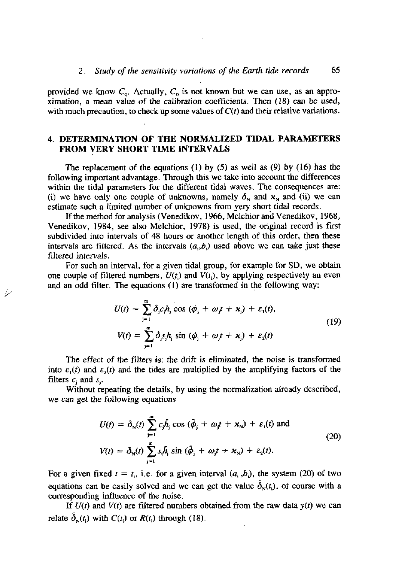provided we know  $C_0$ . Actually,  $C_0$  is not known but we can use, as an approximation, a mean value of the calibration coefficients. Then (18) can be used, with much precaution, to check up some values of  $C(t)$  and their relative variations.

# 4. DETERMINATION OF THE NORMALIZED TIDAL PARAMETERS FROM VERY SHORT TIME INTERVALS

The replacement of the equations (1) by (5) as well as (9) by (16) has the following important advantage. Through this we take into account the differences within the tidal parameters for the different tidal waves. The consequences are: (i) we have only one couple of unknowns, namely  $\delta_{N}$  and  $\kappa_{N}$  and (ii) we can estimate such a limited number of unknowns from very short tidal records.

If the method for analysis (Venedikov, 1966, Melchior and Venedikov, 1968, Venedikov, 1984, see also Melchior, 1978) is used, the original record is first subdivided into intervals of 48 hours or another length of this order, then these intervals are filtered. As the intervals  $(a_i, b_i)$  used above we can take just these filtered intervals.

For such an interval, for a given tidal group, for example for SD, we obtain one couple of filtered numbers,  $U(t_i)$  and  $V(t_i)$ , by applying respectively an even and an odd filter. The equations (1) are transformed in the following way:

سينو

$$
U(t) = \sum_{j=1}^{m} \delta_j c_j h_j \cos (\phi_j + \omega_j t + \varkappa_j) + \varepsilon_1(t),
$$
  

$$
V(t) = \sum_{j=1}^{m} \delta_j s_j h_j \sin (\phi_j + \omega_j t + \varkappa_j) + \varepsilon_2(t)
$$
 (19)

The effect of the filters is: the drift is eliminated, the noise is transformed into  $\varepsilon_1(t)$  and  $\varepsilon_2(t)$  and the tides are multiplied by the amplifying factors of the filters  $c_i$  and  $s_i$ .

Without repeating the details, by using the normalization already described, we can get the following equations

$$
U(t) = \delta_N(t) \sum_{j=1}^{m} c_j \bar{h}_j \cos (\bar{\phi}_j + \omega_j t + \varkappa_N) + \varepsilon_i(t) \text{ and}
$$
  
\n
$$
V(t) = \delta_N(t) \sum_{j=1}^{m} s_j \bar{h}_j \sin (\bar{\phi}_j + \omega_j t + \varkappa_N) + \varepsilon_2(t).
$$
\n(20)

For a given fixed  $t = t_i$ , i.e. for a given interval  $(a_i, b_i)$ , the system (20) of two equations can be easily solved and we can get the value  $\tilde{\delta}_{N}(t_i)$ , of course with a corresponding influence of the noise.

If  $U(t)$  and  $V(t)$  are filtered numbers obtained from the raw data  $y(t)$  we can relate  $\delta_{N}(t_i)$  with  $C(t_i)$  or  $R(t_i)$  through (18).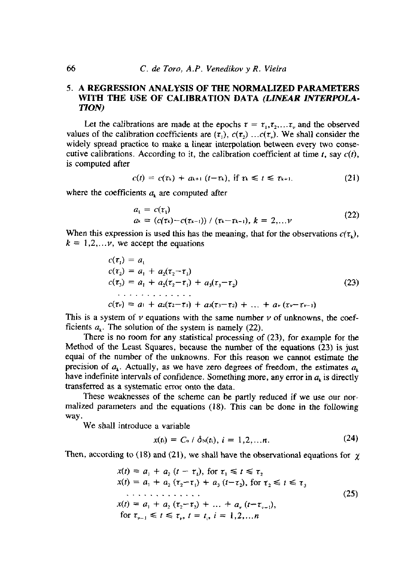# *5.* **A REGRESSION ANALYSTS OF THE NORMALIZED PARAMETERS WITH THE USE OF CALIBRATION DATA** *(LINEAR INTERPOLA-TION)*

Let the calibrations are made at the epochs  $\tau = \tau_1, \tau_2, ..., \tau_n$  and the observed values of the calibration coefficients are  $(\tau_1)$ ,  $c(\tau_2)$  ... $c(\tau_3)$ . We shall consider the widely spread pnactice to make a linear interpolation between every two consecutive calibrations. According to it, the calibration coefficient at time  $t$ , say  $c(t)$ , is computed after

$$
c(t) = c(\tau_k) + a_{k+1} (t-\tau_k), \text{ if } \tau_k \leq t \leq \tau_{k+1}. \tag{21}
$$

where the coefficients  $a_k$  are computed after

$$
a_1 = c(\tau_1) a_k = (c(\tau_k) - c(\tau_{k-1})) / (\tau_k - \tau_{k-1}), k = 2,... \nu
$$
 (22)

When this expression is used this has the meaning, that for the observations  $c(\tau_k)$ ,  $k = 1, 2, \ldots$ , we accept the equations

$$
c(\tau_1) = a_1
$$
  
\n
$$
c(\tau_2) = a_1 + a_2(\tau_2 - \tau_1)
$$
  
\n
$$
c(\tau_3) = a_1 + a_2(\tau_2 - \tau_1) + a_3(\tau_3 - \tau_2)
$$
  
\n
$$
\vdots
$$
  
\n
$$
c(\tau_v) = a_1 + a_2(\tau_2 - \tau_1) + a_3(\tau_3 - \tau_2) + \dots + a_v(\tau_v - \tau_{v-1})
$$
\n(23)

This is a system of  $\nu$  equations with the same number  $\nu$  of unknowns, the coefficients  $a_k$ . The solution of the system is namely (22).

There is no room for any statistical processing of  $(23)$ , for example for the Method of the Least Squares, because the number of the equations (23) is just equal of the number of the unknowns. For this reason we cannot estimate the precision of  $a_k$ . Actually, as we have zero degrees of freedom, the estimates  $a_k$ itave indefinite intervals of confidence. Something more, and in  $a_k$ have indefinite intervals of confidence. Somethin<br>transferred as a systematic error onto the data. Terred as a systematic error onto the data.<br>These weaknesses of the schome can be partly reduced if we use our non-

meter weaknesses of the scheme can be partly reduced if we use our nor-<br>malized parameters and the sculpture  $(18)$ . This can be done in the following malized parameters and the equations (18). This can be done in the following way.

We shall introduce a variable

$$
x(t_i) = C_0 / \delta_N(t_i), i = 1, 2, ..., n.
$$
 (24)

Then, according to (18) and (21), we shall have the observational equations for  $\chi$ 

$$
x(t) = a_1 + a_2 (t - \tau_1), \text{ for } \tau_1 \le t \le \tau_2
$$
  
\n
$$
x(t) = a_1 + a_2 (\tau_2 - \tau_1) + a_3 (t - \tau_2), \text{ for } \tau_2 \le t \le \tau_3
$$
  
\n...\n
$$
x(t) = a_1 + a_2 (\tau_2 - \tau_2) + \dots + a_r (t - \tau_{r-1}),
$$
  
\nfor  $\tau_{r-1} \le t \le \tau_r, t = t_1, i = 1, 2, \dots n$  (25)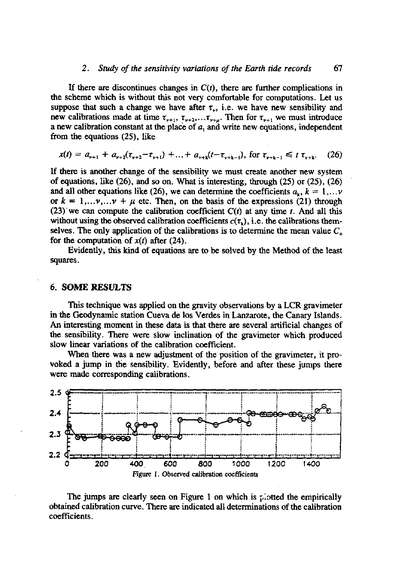### *2. Study of the sensitivi¡y variations of tite Earth dde records* 67

If there are discontinues changes in  $C(t)$ , there are further complications in the scheme which is without this not very comfortable for computations. Let us suppose that such a change we have after  $\tau_{\nu}$ , i.e. we have new sensibility and new calibrations made at time  $\tau_{\nu+1}, \tau_{\nu+2}, \dots, \tau_{\nu+\mu}$ . Then for  $\tau_{\nu+1}$  we must introduce a new calibration constant at dic place of *a1* and write new equations, independent from the equations  $(25)$ , like

$$
x(t) = a_{\nu+1} + a_{\nu+2}(\tau_{\nu+2} - \tau_{\nu+1}) + \ldots + a_{\nu+k}(t - \tau_{\nu+k-1}), \text{ for } \tau_{\nu+k-1} \leq t \tau_{\nu+k}. \tag{26}
$$

If there is another change of the sensibility we must create another new system of equations, like (26), and so on. What is interesting, through (25) or (25), (26) and all other equations like (26), we can determine the coefficients  $a_k$ ,  $k = 1,...v$ or  $k = 1,...v,...v + \mu$  etc. Then, on the basis of the expressions (21) through (23) we can compute the calibration coefficient  $C(t)$  at any time *t*. And all this without using the observed calibration coefficients  $c(\tau_{\lambda})$ , i.e. the calibrations themselves. The only application of the calibrations is to determine the mean value  $C_{\rm o}$ for the computation of  $x(t)$  after (24).

Evidently, this kind of equations are to be solved by the Method of the least squares.

# 6. SOME **RESULTS**

This technique was applied on the gravity observations by a LCR gravimeter in the Geodynamic station Cueva de los Verdes in Lanzarote, the Canary Islands. An interesting moment in these data is that there are several artificial changes of the sensibility. There were slow inclination of the gravimeter which produced slow linear variations of the calibration coefficient.

When there was a new adjustment of the position of the gravimeter, it provoked a jump in the sensibility. Evidently, before and after these jumps there were made corresponding calibrations.



The jumps are clearly seen on Figure 1 on which is plotted the empirically obtained calibration curve. There are indicated all determinations of the calibration coefficients.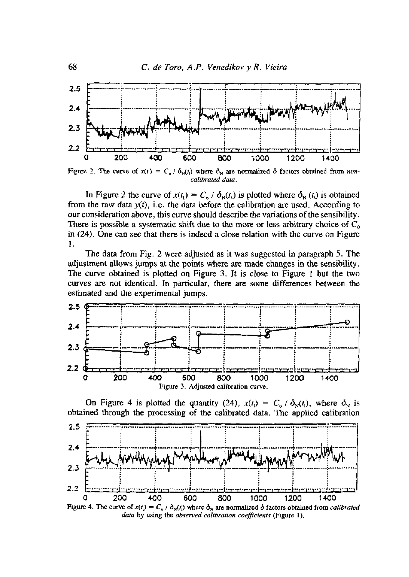

Figure 2. The curve of  $x(t_i) = C_0 / \delta_N(t_i)$  where  $\delta_N$  are normalized  $\delta$  factors obtained from noncalibrated data.

In Figure 2 the curve of  $x(t_i) = C_0 / \delta_N(t_i)$  is plotted where  $\delta_N(t_i)$  is obtained from the raw data  $y(t)$ , i.e. the data before the calibration are used. According to our consideration above, this curve should describe the variations of the sensibility. There is possible a systematic shift due to the more or less arbitrary choice of  $C_0$ in  $(24)$ . One can see that there is indeed a close relation with the curve on Figure 1.

The data from Fig. 2 were adjusted as it was suggested in paragraph 5. The adjustment allows jumps at the points where are made changes in the sensibility. The curve obtained is plotted on Figure 3. It is close to Figure 1 but the two curves are not identical. In particular, there are some differences between the estimated and the experimental jumps.



On Figure 4 is plotted the quantity (24),  $x(t_i) = C_0 / \delta_N(t_i)$ , where  $\delta_N$  is obtained through the processing of the calibrated data. The applied calibration



Figure 4. The curve of  $x(t_i) = C_0 / \delta_N(t_i)$  where  $\delta_N$  are normalized  $\delta$  factors obtained from *calibrated* data by using the observed calibration coefficients (Figure 1).